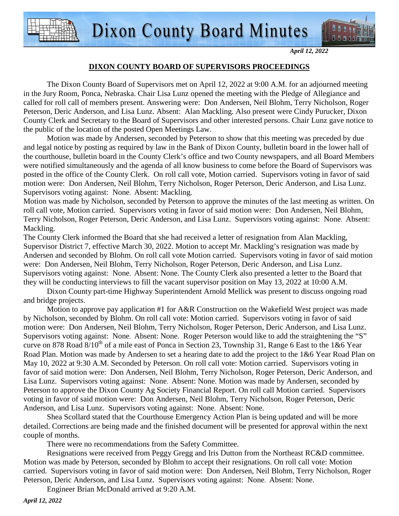

#### *April 12, 2022*

### **DIXON COUNTY BOARD OF SUPERVISORS PROCEEDINGS**

 The Dixon County Board of Supervisors met on April 12, 2022 at 9:00 A.M. for an adjourned meeting in the Jury Room, Ponca, Nebraska. Chair Lisa Lunz opened the meeting with the Pledge of Allegiance and called for roll call of members present. Answering were: Don Andersen, Neil Blohm, Terry Nicholson, Roger Peterson, Deric Anderson, and Lisa Lunz. Absent: Alan Mackling. Also present were Cindy Purucker, Dixon County Clerk and Secretary to the Board of Supervisors and other interested persons. Chair Lunz gave notice to the public of the location of the posted Open Meetings Law.

 Motion was made by Andersen, seconded by Peterson to show that this meeting was preceded by due and legal notice by posting as required by law in the Bank of Dixon County, bulletin board in the lower hall of the courthouse, bulletin board in the County Clerk's office and two County newspapers, and all Board Members were notified simultaneously and the agenda of all know business to come before the Board of Supervisors was posted in the office of the County Clerk. On roll call vote, Motion carried. Supervisors voting in favor of said motion were: Don Andersen, Neil Blohm, Terry Nicholson, Roger Peterson, Deric Anderson, and Lisa Lunz. Supervisors voting against: None. Absent: Mackling.

Motion was made by Nicholson, seconded by Peterson to approve the minutes of the last meeting as written. On roll call vote, Motion carried. Supervisors voting in favor of said motion were: Don Andersen, Neil Blohm, Terry Nicholson, Roger Peterson, Deric Anderson, and Lisa Lunz. Supervisors voting against: None. Absent: Mackling.

The County Clerk informed the Board that she had received a letter of resignation from Alan Mackling, Supervisor District 7, effective March 30, 2022. Motion to accept Mr. Mackling's resignation was made by Andersen and seconded by Blohm. On roll call vote Motion carried. Supervisors voting in favor of said motion were: Don Andersen, Neil Blohm, Terry Nicholson, Roger Peterson, Deric Anderson, and Lisa Lunz. Supervisors voting against: None. Absent: None. The County Clerk also presented a letter to the Board that they will be conducting interviews to fill the vacant supervisor position on May 13, 2022 at 10:00 A.M.

Dixon County part-time Highway Superintendent Arnold Mellick was present to discuss ongoing road and bridge projects.

Motion to approve pay application #1 for A&R Construction on the Wakefield West project was made by Nicholson, seconded by Blohm. On roll call vote: Motion carried. Supervisors voting in favor of said motion were: Don Andersen, Neil Blohm, Terry Nicholson, Roger Peterson, Deric Anderson, and Lisa Lunz. Supervisors voting against: None. Absent: None. Roger Peterson would like to add the straightening the "S" curve on 878 Road  $8/10^{th}$  of a mile east of Ponca in Section 23, Township 31, Range 6 East to the 1&6 Year Road Plan. Motion was made by Andersen to set a hearing date to add the project to the 1&6 Year Road Plan on May 10, 2022 at 9:30 A.M. Seconded by Peterson. On roll call vote: Motion carried. Supervisors voting in favor of said motion were: Don Andersen, Neil Blohm, Terry Nicholson, Roger Peterson, Deric Anderson, and Lisa Lunz. Supervisors voting against: None. Absent: None. Motion was made by Andersen, seconded by Peterson to approve the Dixon County Ag Society Financial Report. On roll call Motion carried. Supervisors voting in favor of said motion were: Don Andersen, Neil Blohm, Terry Nicholson, Roger Peterson, Deric Anderson, and Lisa Lunz. Supervisors voting against: None. Absent: None.

Shea Scollard stated that the Courthouse Emergency Action Plan is being updated and will be more detailed. Corrections are being made and the finished document will be presented for approval within the next couple of months.

There were no recommendations from the Safety Committee.

Resignations were received from Peggy Gregg and Iris Dutton from the Northeast RC&D committee. Motion was made by Peterson, seconded by Blohm to accept their resignations. On roll call vote: Motion carried. Supervisors voting in favor of said motion were: Don Andersen, Neil Blohm, Terry Nicholson, Roger Peterson, Deric Anderson, and Lisa Lunz. Supervisors voting against: None. Absent: None.

Engineer Brian McDonald arrived at 9:20 A.M.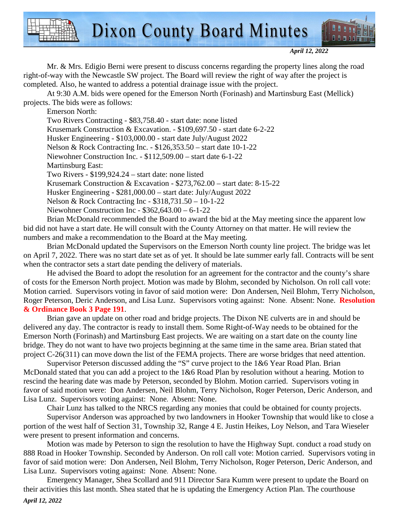

*April 12, 2022* 

Mr. & Mrs. Edigio Berni were present to discuss concerns regarding the property lines along the road right-of-way with the Newcastle SW project. The Board will review the right of way after the project is completed. Also, he wanted to address a potential drainage issue with the project.

At 9:30 A.M. bids were opened for the Emerson North (Forinash) and Martinsburg East (Mellick) projects. The bids were as follows:

Emerson North:

Two Rivers Contracting - \$83,758.40 - start date: none listed

Krusemark Construction & Excavation. - \$109,697.50 - start date 6-2-22

Husker Engineering - \$103,000.00 - start date July/August 2022

Nelson & Rock Contracting Inc. - \$126,353.50 – start date 10-1-22

Niewohner Construction Inc. - \$112,509.00 – start date 6-1-22

Martinsburg East:

Two Rivers - \$199,924.24 – start date: none listed

Krusemark Construction & Excavation - \$273,762.00 – start date: 8-15-22

Husker Engineering - \$281,000.00 – start date: July/August 2022

Nelson & Rock Contracting Inc - \$318,731.50 – 10-1-22

Niewohner Construction Inc - \$362,643.00 – 6-1-22

Brian McDonald recommended the Board to award the bid at the May meeting since the apparent low bid did not have a start date. He will consult with the County Attorney on that matter. He will review the numbers and make a recommendation to the Board at the May meeting.

Brian McDonald updated the Supervisors on the Emerson North county line project. The bridge was let on April 7, 2022. There was no start date set as of yet. It should be late summer early fall. Contracts will be sent when the contractor sets a start date pending the delivery of materials.

He advised the Board to adopt the resolution for an agreement for the contractor and the county's share of costs for the Emerson North project. Motion was made by Blohm, seconded by Nicholson. On roll call vote: Motion carried. Supervisors voting in favor of said motion were: Don Andersen, Neil Blohm, Terry Nicholson, Roger Peterson, Deric Anderson, and Lisa Lunz. Supervisors voting against: None. Absent: None. **Resolution & Ordinance Book 3 Page 191**.

Brian gave an update on other road and bridge projects. The Dixon NE culverts are in and should be delivered any day. The contractor is ready to install them. Some Right-of-Way needs to be obtained for the Emerson North (Forinash) and Martinsburg East projects. We are waiting on a start date on the county line bridge. They do not want to have two projects beginning at the same time in the same area. Brian stated that project C-26(311) can move down the list of the FEMA projects. There are worse bridges that need attention.

Supervisor Peterson discussed adding the "S" curve project to the 1&6 Year Road Plan. Brian McDonald stated that you can add a project to the 1&6 Road Plan by resolution without a hearing. Motion to rescind the hearing date was made by Peterson, seconded by Blohm. Motion carried. Supervisors voting in favor of said motion were: Don Andersen, Neil Blohm, Terry Nicholson, Roger Peterson, Deric Anderson, and Lisa Lunz. Supervisors voting against: None. Absent: None.

Chair Lunz has talked to the NRCS regarding any monies that could be obtained for county projects.

Supervisor Anderson was approached by two landowners in Hooker Township that would like to close a portion of the west half of Section 31, Township 32, Range 4 E. Justin Heikes, Loy Nelson, and Tara Wieseler were present to present information and concerns.

Motion was made by Peterson to sign the resolution to have the Highway Supt. conduct a road study on 888 Road in Hooker Township. Seconded by Anderson. On roll call vote: Motion carried. Supervisors voting in favor of said motion were: Don Andersen, Neil Blohm, Terry Nicholson, Roger Peterson, Deric Anderson, and Lisa Lunz. Supervisors voting against: None. Absent: None.

Emergency Manager, Shea Scollard and 911 Director Sara Kumm were present to update the Board on their activities this last month. Shea stated that he is updating the Emergency Action Plan. The courthouse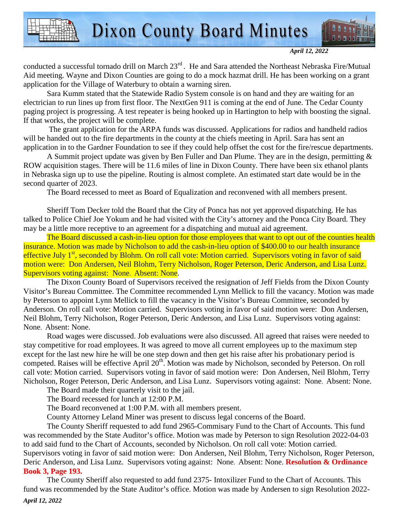

*April 12, 2022* 

conducted a successful tornado drill on March 23<sup>rd</sup>. He and Sara attended the Northeast Nebraska Fire/Mutual Aid meeting. Wayne and Dixon Counties are going to do a mock hazmat drill. He has been working on a grant application for the Village of Waterbury to obtain a warning siren.

Sara Kumm stated that the Statewide Radio System console is on hand and they are waiting for an electrician to run lines up from first floor. The NextGen 911 is coming at the end of June. The Cedar County paging project is progressing. A test repeater is being hooked up in Hartington to help with boosting the signal. If that works, the project will be complete.

 The grant application for the ARPA funds was discussed. Applications for radios and handheld radios will be handed out to the fire departments in the county at the chiefs meeting in April. Sara has sent an application in to the Gardner Foundation to see if they could help offset the cost for the fire/rescue departments.

A Summit project update was given by Ben Fuller and Dan Plume. They are in the design, permitting & ROW acquisition stages. There will be 11.6 miles of line in Dixon County. There have been six ethanol plants in Nebraska sign up to use the pipeline. Routing is almost complete. An estimated start date would be in the second quarter of 2023.

The Board recessed to meet as Board of Equalization and reconvened with all members present.

Sheriff Tom Decker told the Board that the City of Ponca has not yet approved dispatching. He has talked to Police Chief Joe Yokum and he had visited with the City's attorney and the Ponca City Board. They may be a little more receptive to an agreement for a dispatching and mutual aid agreement.

The Board discussed a cash-in-lieu option for those employees that want to opt out of the counties health insurance. Motion was made by Nicholson to add the cash-in-lieu option of \$400.00 to our health insurance effective July 1<sup>st</sup>, seconded by Blohm. On roll call vote: Motion carried. Supervisors voting in favor of said motion were: Don Andersen, Neil Blohm, Terry Nicholson, Roger Peterson, Deric Anderson, and Lisa Lunz. Supervisors voting against: None. Absent: None.

The Dixon County Board of Supervisors received the resignation of Jeff Fields from the Dixon County Visitor's Bureau Committee. The Committee recommended Lynn Mellick to fill the vacancy. Motion was made by Peterson to appoint Lynn Mellick to fill the vacancy in the Visitor's Bureau Committee, seconded by Anderson. On roll call vote: Motion carried. Supervisors voting in favor of said motion were: Don Andersen, Neil Blohm, Terry Nicholson, Roger Peterson, Deric Anderson, and Lisa Lunz. Supervisors voting against: None. Absent: None.

Road wages were discussed. Job evaluations were also discussed. All agreed that raises were needed to stay competitive for road employees. It was agreed to move all current employees up to the maximum step except for the last new hire he will be one step down and then get his raise after his probationary period is competed. Raises will be effective April 20<sup>th</sup>. Motion was made by Nicholson, seconded by Peterson. On roll call vote: Motion carried. Supervisors voting in favor of said motion were: Don Andersen, Neil Blohm, Terry Nicholson, Roger Peterson, Deric Anderson, and Lisa Lunz. Supervisors voting against: None. Absent: None.

The Board made their quarterly visit to the jail.

The Board recessed for lunch at 12:00 P.M.

The Board reconvened at 1:00 P.M. with all members present.

County Attorney Leland Miner was present to discuss legal concerns of the Board.

The County Sheriff requested to add fund 2965-Commisary Fund to the Chart of Accounts. This fund was recommended by the State Auditor's office. Motion was made by Peterson to sign Resolution 2022-04-03 to add said fund to the Chart of Accounts, seconded by Nicholson. On roll call vote: Motion carried. Supervisors voting in favor of said motion were: Don Andersen, Neil Blohm, Terry Nicholson, Roger Peterson, Deric Anderson, and Lisa Lunz. Supervisors voting against: None. Absent: None. **Resolution & Ordinance Book 3, Page 193.**

The County Sheriff also requested to add fund 2375- Intoxilizer Fund to the Chart of Accounts. This fund was recommended by the State Auditor's office. Motion was made by Andersen to sign Resolution 2022-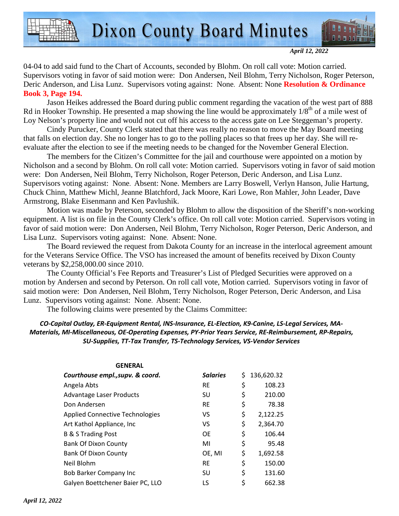



*April 12, 2022* 

04-04 to add said fund to the Chart of Accounts, seconded by Blohm. On roll call vote: Motion carried. Supervisors voting in favor of said motion were: Don Andersen, Neil Blohm, Terry Nicholson, Roger Peterson, Deric Anderson, and Lisa Lunz. Supervisors voting against: None. Absent: None **Resolution & Ordinance Book 3, Page 194.** 

Jason Heikes addressed the Board during public comment regarding the vacation of the west part of 888 Rd in Hooker Township. He presented a map showing the line would be approximately  $1/8^{th}$  of a mile west of Loy Nelson's property line and would not cut off his access to the access gate on Lee Steggeman's property.

Cindy Purucker, County Clerk stated that there was really no reason to move the May Board meeting that falls on election day. She no longer has to go to the polling places so that frees up her day. She will reevaluate after the election to see if the meeting needs to be changed for the November General Election.

The members for the Citizen's Committee for the jail and courthouse were appointed on a motion by Nicholson and a second by Blohm. On roll call vote: Motion carried. Supervisors voting in favor of said motion were: Don Andersen, Neil Blohm, Terry Nicholson, Roger Peterson, Deric Anderson, and Lisa Lunz. Supervisors voting against: None. Absent: None. Members are Larry Boswell, Verlyn Hanson, Julie Hartung, Chuck Chinn, Matthew Michl, Jeanne Blatchford, Jack Moore, Kari Lowe, Ron Mahler, John Leader, Dave Armstrong, Blake Eisenmann and Ken Pavlushik.

Motion was made by Peterson, seconded by Blohm to allow the disposition of the Sheriff's non-working equipment. A list is on file in the County Clerk's office. On roll call vote: Motion carried. Supervisors voting in favor of said motion were: Don Andersen, Neil Blohm, Terry Nicholson, Roger Peterson, Deric Anderson, and Lisa Lunz. Supervisors voting against: None. Absent: None.

The Board reviewed the request from Dakota County for an increase in the interlocal agreement amount for the Veterans Service Office. The VSO has increased the amount of benefits received by Dixon County veterans by \$2,258,000.00 since 2010.

The County Official's Fee Reports and Treasurer's List of Pledged Securities were approved on a motion by Andersen and second by Peterson. On roll call vote, Motion carried. Supervisors voting in favor of said motion were: Don Andersen, Neil Blohm, Terry Nicholson, Roger Peterson, Deric Anderson, and Lisa Lunz. Supervisors voting against: None. Absent: None.

The following claims were presented by the Claims Committee:

### *CO-Capital Outlay, ER-Equipment Rental, INS-Insurance, EL-Election, K9-Canine, LS-Legal Services, MA-Materials, MI-Miscellaneous, OE-Operating Expenses, PY-Prior Years Service, RE-Reimbursement, RP-Repairs, SU-Supplies, TT-Tax Transfer, TS-Technology Services, VS-Vendor Services*

| <b>GENERAL</b>                         |                 |                  |
|----------------------------------------|-----------------|------------------|
| Courthouse empl., supv. & coord.       | <b>Salaries</b> | \$<br>136,620.32 |
| Angela Abts                            | <b>RE</b>       | \$<br>108.23     |
| <b>Advantage Laser Products</b>        | SU              | \$<br>210.00     |
| Don Andersen                           | <b>RE</b>       | \$<br>78.38      |
| <b>Applied Connective Technologies</b> | VS              | \$<br>2,122.25   |
| Art Kathol Appliance, Inc.             | VS              | \$<br>2,364.70   |
| <b>B &amp; S Trading Post</b>          | <b>OE</b>       | \$<br>106.44     |
| <b>Bank Of Dixon County</b>            | MI              | \$<br>95.48      |
| <b>Bank Of Dixon County</b>            | OE, MI          | \$<br>1,692.58   |
| Neil Blohm                             | <b>RE</b>       | \$<br>150.00     |
| Bob Barker Company Inc                 | SU              | \$<br>131.60     |
| Galyen Boettchener Baier PC, LLO       | LS              | \$<br>662.38     |
|                                        |                 |                  |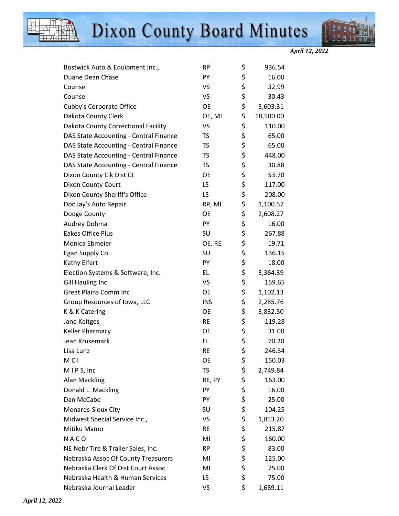



*April 12, 2022* 

| Bostwick Auto & Equipment Inc.,        | <b>RP</b>  | \$<br>936.54    |
|----------------------------------------|------------|-----------------|
| Duane Dean Chase                       | PY         | \$<br>16.00     |
| Counsel                                | <b>VS</b>  | \$<br>32.99     |
| Counsel                                | VS         | \$<br>30.43     |
| Cubby's Corporate Office               | <b>OE</b>  | \$<br>3,603.31  |
| Dakota County Clerk                    | OE, MI     | \$<br>18,500.00 |
| Dakota County Correctional Facility    | VS         | \$<br>110.00    |
| DAS State Accounting - Central Finance | <b>TS</b>  | \$<br>65.00     |
| DAS State Accounting - Central Finance | <b>TS</b>  | \$<br>65.00     |
| DAS State Accounting - Central Finance | <b>TS</b>  | \$<br>448.00    |
| DAS State Accounting - Central Finance | <b>TS</b>  | \$<br>30.88     |
| Dixon County Clk Dist Ct               | <b>OE</b>  | \$<br>53.70     |
| Dixon County Court                     | LS.        | \$<br>117.00    |
| Dixon County Sheriff's Office          | LS         | \$<br>208.00    |
| Doc Jay's Auto Repair                  | RP, MI     | \$<br>1,100.57  |
| Dodge County                           | <b>OE</b>  | \$<br>2,608.27  |
| Audrey Dohma                           | PY         | \$<br>16.00     |
| Eakes Office Plus                      | SU         | \$<br>267.88    |
| Monica Ebmeier                         | OE, RE     | \$<br>19.71     |
| Egan Supply Co                         | SU         | \$<br>136.15    |
| Kathy Eifert                           | PY         | \$<br>18.00     |
| Election Systems & Software, Inc.      | EL.        | \$<br>3,364.39  |
| <b>Gill Hauling Inc</b>                | <b>VS</b>  | \$<br>159.65    |
| <b>Great Plains Comm Inc</b>           | <b>OE</b>  | \$<br>1,102.13  |
| Group Resources of Iowa, LLC           | <b>INS</b> | \$<br>2,285.76  |
| K & K Catering                         | <b>OE</b>  | \$<br>3,832.50  |
| Jane Keitges                           | <b>RE</b>  | \$<br>119.28    |
| Keller Pharmacy                        | <b>OE</b>  | \$<br>31.00     |
| Jean Krusemark                         | EL.        | \$<br>70.20     |
| Lisa Lunz                              | <b>RE</b>  | \$<br>246.34    |
| M <sub>C</sub> I                       | OE         | \$<br>150.03    |
| MIPS, Inc                              | <b>TS</b>  | \$<br>2,749.84  |
| <b>Alan Mackling</b>                   | RE, PY     | \$<br>163.00    |
| Donald L. Mackling                     | PY         | \$<br>16.00     |
| Dan McCabe                             | PY         | \$<br>25.00     |
| Menards-Sioux City                     | SU         | \$<br>104.25    |
| Midwest Special Service Inc.,          | VS         | \$<br>1,853.20  |
| Mitiku Mamo                            | <b>RE</b>  | \$<br>215.87    |
| NACO                                   | MI         | \$<br>160.00    |
| NE Nebr Tire & Trailer Sales, Inc.     | <b>RP</b>  | \$<br>83.00     |
| Nebraska Assoc Of County Treasurers    | MI         | \$<br>125.00    |
| Nebraska Clerk Of Dist Court Assoc     | MI         | \$<br>75.00     |
| Nebraska Health & Human Services       | LS.        | \$<br>75.00     |
| Nebraska Journal Leader                | VS         | \$<br>1,689.11  |
|                                        |            |                 |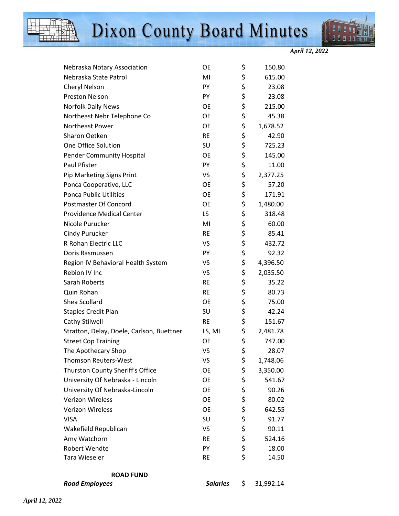



*April 12, 2022* 

| <b>Road Employees</b>                     | <b>Salaries</b> | \$       | 31,992.14      |
|-------------------------------------------|-----------------|----------|----------------|
| <b>ROAD FUND</b>                          |                 |          |                |
|                                           |                 |          |                |
| Robert Wendte<br>Tara Wieseler            | PY<br><b>RE</b> | \$<br>\$ | 18.00<br>14.50 |
| Amy Watchorn                              | <b>RE</b>       | \$       | 524.16         |
| Wakefield Republican                      | VS.             | \$       | 90.11          |
| <b>VISA</b>                               | SU              | \$       | 91.77          |
| <b>Verizon Wireless</b>                   | <b>OE</b>       | \$       | 642.55         |
| <b>Verizon Wireless</b>                   | <b>OE</b>       | \$       | 80.02          |
| University Of Nebraska-Lincoln            | <b>OE</b>       | \$       | 90.26          |
| University Of Nebraska - Lincoln          | OE              | \$       | 541.67         |
| Thurston County Sheriff's Office          | OE              | \$       | 3,350.00       |
| <b>Thomson Reuters-West</b>               | VS              | \$       | 1,748.06       |
| The Apothecary Shop                       | VS              | \$       | 28.07          |
| <b>Street Cop Training</b>                | OE              | \$       | 747.00         |
| Stratton, Delay, Doele, Carlson, Buettner | LS, MI          | \$       | 2,481.78       |
| Cathy Stilwell                            | <b>RE</b>       | \$       | 151.67         |
| <b>Staples Credit Plan</b>                | SU              | \$       | 42.24          |
| Shea Scollard                             | <b>OE</b>       | \$       | 75.00          |
| Quin Rohan                                | <b>RE</b>       | \$       | 80.73          |
| Sarah Roberts                             | <b>RE</b>       | \$       | 35.22          |
| Rebion IV Inc                             | VS              | \$       | 2,035.50       |
| Region IV Behavioral Health System        | VS              | \$       | 4,396.50       |
| Doris Rasmussen                           | PY              | \$       | 92.32          |
| R Rohan Electric LLC                      | VS              | \$       | 432.72         |
| Cindy Purucker                            | <b>RE</b>       | \$       | 85.41          |
| Nicole Purucker                           | MI              | \$       | 60.00          |
| <b>Providence Medical Center</b>          | LS.             | \$       | 318.48         |
| Postmaster Of Concord                     | OE              | \$       | 1,480.00       |
| <b>Ponca Public Utilities</b>             | <b>OE</b>       | \$       | 171.91         |
| Ponca Cooperative, LLC                    | OE              | \$       | 57.20          |
| Pip Marketing Signs Print                 | VS              | \$       | 2,377.25       |
| <b>Paul Pfister</b>                       | PY              | \$       | 11.00          |
| <b>Pender Community Hospital</b>          | <b>OE</b>       | \$       | 145.00         |
| One Office Solution                       | SU              | \$       | 725.23         |
| Sharon Oetken                             | <b>RE</b>       | \$       | 42.90          |
| Northeast Power                           | OE              | \$       | 1,678.52       |
| Northeast Nebr Telephone Co               | OE              | \$       | 45.38          |
| <b>Norfolk Daily News</b>                 | OE              | \$       | 215.00         |
| <b>Preston Nelson</b>                     | PY              | \$       | 23.08          |
| Cheryl Nelson                             | PY              | \$       | 23.08          |
| Nebraska State Patrol                     | MI              | \$       | 615.00         |
| Nebraska Notary Association               | OE              | \$       | 150.80         |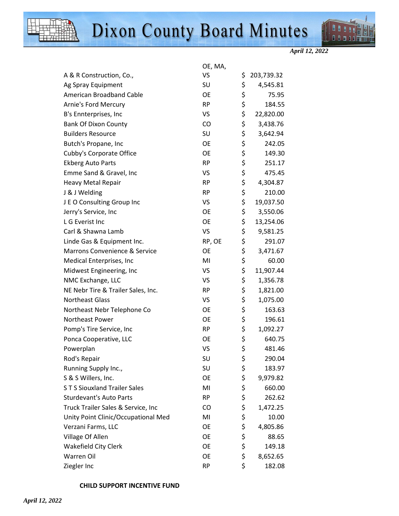



*April 12, 2022* 

|                                     | OE, MA,   |                  |
|-------------------------------------|-----------|------------------|
| A & R Construction, Co.,            | <b>VS</b> | \$<br>203,739.32 |
| Ag Spray Equipment                  | SU        | \$<br>4,545.81   |
| American Broadband Cable            | <b>OE</b> | \$<br>75.95      |
| <b>Arnie's Ford Mercury</b>         | <b>RP</b> | \$<br>184.55     |
| B's Ennterprises, Inc               | VS        | \$<br>22,820.00  |
| <b>Bank Of Dixon County</b>         | CO        | \$<br>3,438.76   |
| <b>Builders Resource</b>            | SU        | \$<br>3,642.94   |
| Butch's Propane, Inc                | OE        | \$<br>242.05     |
| Cubby's Corporate Office            | <b>OE</b> | \$<br>149.30     |
| <b>Ekberg Auto Parts</b>            | <b>RP</b> | \$<br>251.17     |
| Emme Sand & Gravel, Inc             | VS        | \$<br>475.45     |
| Heavy Metal Repair                  | <b>RP</b> | \$<br>4,304.87   |
| J & J Welding                       | <b>RP</b> | \$<br>210.00     |
| J E O Consulting Group Inc          | VS        | \$<br>19,037.50  |
| Jerry's Service, Inc                | <b>OE</b> | \$<br>3,550.06   |
| L G Everist Inc                     | OE        | \$<br>13,254.06  |
| Carl & Shawna Lamb                  | <b>VS</b> | \$<br>9,581.25   |
| Linde Gas & Equipment Inc.          | RP, OE    | \$<br>291.07     |
| Marrons Convenience & Service       | OE        | \$<br>3,471.67   |
| Medical Enterprises, Inc            | MI        | \$<br>60.00      |
| Midwest Engineering, Inc            | VS        | \$<br>11,907.44  |
| NMC Exchange, LLC                   | VS        | \$<br>1,356.78   |
| NE Nebr Tire & Trailer Sales, Inc.  | <b>RP</b> | \$<br>1,821.00   |
| <b>Northeast Glass</b>              | VS        | \$<br>1,075.00   |
| Northeast Nebr Telephone Co         | <b>OE</b> | \$<br>163.63     |
| Northeast Power                     | OE        | \$<br>196.61     |
| Pomp's Tire Service, Inc            | <b>RP</b> | \$<br>1,092.27   |
| Ponca Cooperative, LLC              | OE        | \$<br>640.75     |
| Powerplan                           | VS        | \$<br>481.46     |
| Rod's Repair                        | SU        | \$<br>290.04     |
| Running Supply Inc.,                | SU        | \$<br>183.97     |
| S & S Willers, Inc.                 | OE        | \$<br>9,979.82   |
| <b>ST S Siouxland Trailer Sales</b> | MI        | \$<br>660.00     |
| <b>Sturdevant's Auto Parts</b>      | <b>RP</b> | \$<br>262.62     |
| Truck Trailer Sales & Service, Inc  | CO        | \$<br>1,472.25   |
| Unity Point Clinic/Occupational Med | MI        | \$<br>10.00      |
| Verzani Farms, LLC                  | <b>OE</b> | \$<br>4,805.86   |
| Village Of Allen                    | OE        | \$<br>88.65      |
| Wakefield City Clerk                | <b>OE</b> | \$<br>149.18     |
| Warren Oil                          | OE        | \$<br>8,652.65   |
| Ziegler Inc                         | <b>RP</b> | \$<br>182.08     |

### **CHILD SUPPORT INCENTIVE FUND**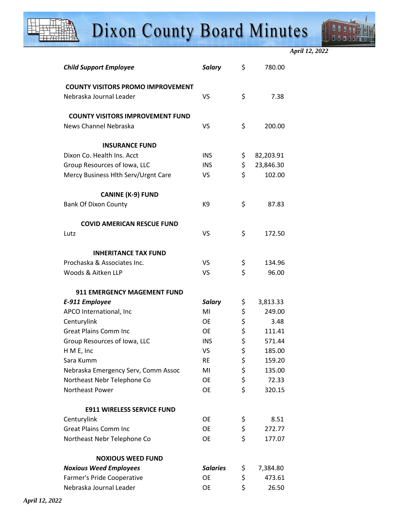

*April 12, 2022* 

| <b>Child Support Employee</b>            | <b>Salary</b>   | \$<br>780.00    |
|------------------------------------------|-----------------|-----------------|
| <b>COUNTY VISITORS PROMO IMPROVEMENT</b> |                 |                 |
| Nebraska Journal Leader                  | VS              | \$<br>7.38      |
| <b>COUNTY VISITORS IMPROVEMENT FUND</b>  |                 |                 |
| News Channel Nebraska                    | VS              | \$<br>200.00    |
| <b>INSURANCE FUND</b>                    |                 |                 |
| Dixon Co. Health Ins. Acct               | <b>INS</b>      | \$<br>82,203.91 |
| Group Resources of Iowa, LLC             | <b>INS</b>      | \$<br>23,846.30 |
| Mercy Business Hlth Serv/Urgnt Care      | VS.             | \$<br>102.00    |
| <b>CANINE (K-9) FUND</b>                 |                 |                 |
| <b>Bank Of Dixon County</b>              | K9              | \$<br>87.83     |
| <b>COVID AMERICAN RESCUE FUND</b>        |                 |                 |
| Lutz                                     | VS              | \$<br>172.50    |
| <b>INHERITANCE TAX FUND</b>              |                 |                 |
| Prochaska & Associates Inc.              | VS              | \$<br>134.96    |
| Woods & Aitken LLP                       | VS              | \$<br>96.00     |
| <b>911 EMERGENCY MAGEMENT FUND</b>       |                 |                 |
| E-911 Employee                           | <b>Salary</b>   | \$<br>3,813.33  |
| APCO International, Inc                  | MI              | \$<br>249.00    |
| Centurylink                              | OE              | \$<br>3.48      |
| <b>Great Plains Comm Inc</b>             | <b>OE</b>       | \$<br>111.41    |
| Group Resources of Iowa, LLC             | <b>INS</b>      | \$<br>571.44    |
| H M E, Inc                               | VS              | \$<br>185.00    |
| Sara Kumm                                | RE              | \$<br>159.20    |
| Nebraska Emergency Serv, Comm Assoc      | MI              | \$<br>135.00    |
| Northeast Nebr Telephone Co              | OE              | \$<br>72.33     |
| Northeast Power                          | <b>OE</b>       | \$<br>320.15    |
| <b>E911 WIRELESS SERVICE FUND</b>        |                 |                 |
| Centurylink                              | OE              | \$<br>8.51      |
| <b>Great Plains Comm Inc</b>             | <b>OE</b>       | \$<br>272.77    |
| Northeast Nebr Telephone Co              | OE              | \$<br>177.07    |
| <b>NOXIOUS WEED FUND</b>                 |                 |                 |
| <b>Noxious Weed Employees</b>            | <b>Salaries</b> | \$<br>7,384.80  |
| Farmer's Pride Cooperative               | <b>OE</b>       | \$<br>473.61    |
| Nebraska Journal Leader                  | OE              | \$<br>26.50     |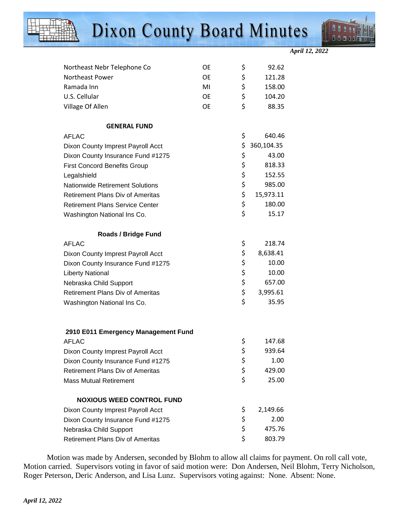



*April 12, 2022* 

| Northeast Nebr Telephone Co             | <b>OE</b> | \$<br>92.62      |
|-----------------------------------------|-----------|------------------|
| Northeast Power                         | <b>OE</b> | \$<br>121.28     |
| Ramada Inn                              | MI        | \$<br>158.00     |
| U.S. Cellular                           | <b>OE</b> | \$<br>104.20     |
| Village Of Allen                        | <b>OE</b> | \$<br>88.35      |
|                                         |           |                  |
| <b>GENERAL FUND</b>                     |           |                  |
| <b>AFLAC</b>                            |           | \$<br>640.46     |
| Dixon County Imprest Payroll Acct       |           | \$<br>360,104.35 |
| Dixon County Insurance Fund #1275       |           | \$<br>43.00      |
| <b>First Concord Benefits Group</b>     |           | \$<br>818.33     |
| Legalshield                             |           | \$<br>152.55     |
| <b>Nationwide Retirement Solutions</b>  |           | \$<br>985.00     |
| <b>Retirement Plans Div of Ameritas</b> |           | \$<br>15,973.11  |
| <b>Retirement Plans Service Center</b>  |           | \$<br>180.00     |
| Washington National Ins Co.             |           | \$<br>15.17      |
| <b>Roads / Bridge Fund</b>              |           |                  |
| <b>AFLAC</b>                            |           | \$<br>218.74     |
| Dixon County Imprest Payroll Acct       |           | \$<br>8,638.41   |
| Dixon County Insurance Fund #1275       |           | \$<br>10.00      |
| <b>Liberty National</b>                 |           | \$<br>10.00      |
| Nebraska Child Support                  |           | \$<br>657.00     |
| <b>Retirement Plans Div of Ameritas</b> |           | \$<br>3,995.61   |
| Washington National Ins Co.             |           | \$<br>35.95      |
|                                         |           |                  |
| 2910 E011 Emergency Management Fund     |           |                  |
| <b>AFLAC</b>                            |           | \$<br>147.68     |
| Dixon County Imprest Payroll Acct       |           | \$<br>939.64     |
| Dixon County Insurance Fund #1275       |           | \$<br>1.00       |
| <b>Retirement Plans Div of Ameritas</b> |           | \$<br>429.00     |
| <b>Mass Mutual Retirement</b>           |           | \$<br>25.00      |
| <b>NOXIOUS WEED CONTROL FUND</b>        |           |                  |
| Dixon County Imprest Payroll Acct       |           | \$<br>2,149.66   |
| Dixon County Insurance Fund #1275       |           | \$<br>2.00       |
| Nebraska Child Support                  |           | \$<br>475.76     |
| Retirement Plans Div of Ameritas        |           | \$<br>803.79     |

Motion was made by Andersen, seconded by Blohm to allow all claims for payment. On roll call vote, Motion carried. Supervisors voting in favor of said motion were: Don Andersen, Neil Blohm, Terry Nicholson, Roger Peterson, Deric Anderson, and Lisa Lunz. Supervisors voting against: None. Absent: None.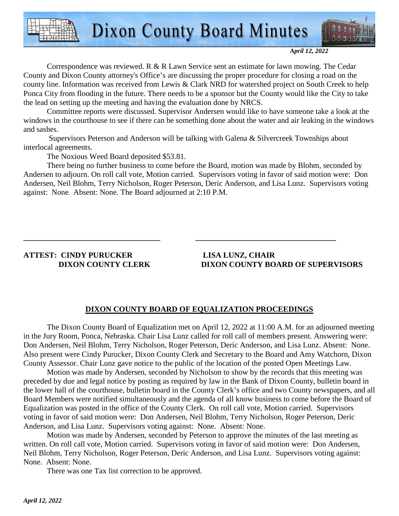

*April 12, 2022* 

Correspondence was reviewed. R & R Lawn Service sent an estimate for lawn mowing. The Cedar County and Dixon County attorney's Office's are discussing the proper procedure for closing a road on the county line. Information was received from Lewis & Clark NRD for watershed project on South Creek to help Ponca City from flooding in the future. There needs to be a sponsor but the County would like the City to take the lead on setting up the meeting and having the evaluation done by NRCS.

Committee reports were discussed. Supervisor Andersen would like to have someone take a look at the windows in the courthouse to see if there can be something done about the water and air leaking in the windows and sashes.

 Supervisors Peterson and Anderson will be talking with Galena & Silvercreek Townships about interlocal agreements.

**\_\_\_\_\_\_\_\_\_\_\_\_\_\_\_\_\_\_\_\_\_\_\_\_\_\_\_\_\_\_\_\_\_\_\_ \_\_\_\_\_\_\_\_\_\_\_\_\_\_\_\_\_\_\_\_\_\_\_\_\_\_\_\_\_\_\_\_\_\_\_\_** 

The Noxious Weed Board deposited \$53.81.

There being no further business to come before the Board, motion was made by Blohm, seconded by Andersen to adjourn. On roll call vote, Motion carried. Supervisors voting in favor of said motion were: Don Andersen, Neil Blohm, Terry Nicholson, Roger Peterson, Deric Anderson, and Lisa Lunz. Supervisors voting against: None. Absent: None. The Board adjourned at 2:10 P.M.

### **ATTEST: CINDY PURUCKER LISA LUNZ, CHAIR**

 **DIXON COUNTY CLERK DIXON COUNTY BOARD OF SUPERVISORS** 

### **DIXON COUNTY BOARD OF EQUALIZATION PROCEEDINGS**

 The Dixon County Board of Equalization met on April 12, 2022 at 11:00 A.M. for an adjourned meeting in the Jury Room, Ponca, Nebraska. Chair Lisa Lunz called for roll call of members present. Answering were: Don Andersen, Neil Blohm, Terry Nicholson, Roger Peterson, Deric Anderson, and Lisa Lunz. Absent: None. Also present were Cindy Purucker, Dixon County Clerk and Secretary to the Board and Amy Watchorn, Dixon County Assessor. Chair Lunz gave notice to the public of the location of the posted Open Meetings Law.

 Motion was made by Andersen, seconded by Nicholson to show by the records that this meeting was preceded by due and legal notice by posting as required by law in the Bank of Dixon County, bulletin board in the lower hall of the courthouse, bulletin board in the County Clerk's office and two County newspapers, and all Board Members were notified simultaneously and the agenda of all know business to come before the Board of Equalization was posted in the office of the County Clerk. On roll call vote, Motion carried. Supervisors voting in favor of said motion were: Don Andersen, Neil Blohm, Terry Nicholson, Roger Peterson, Deric Anderson, and Lisa Lunz. Supervisors voting against: None. Absent: None.

 Motion was made by Andersen, seconded by Peterson to approve the minutes of the last meeting as written. On roll call vote, Motion carried. Supervisors voting in favor of said motion were: Don Andersen, Neil Blohm, Terry Nicholson, Roger Peterson, Deric Anderson, and Lisa Lunz. Supervisors voting against: None. Absent: None.

There was one Tax list correction to be approved.